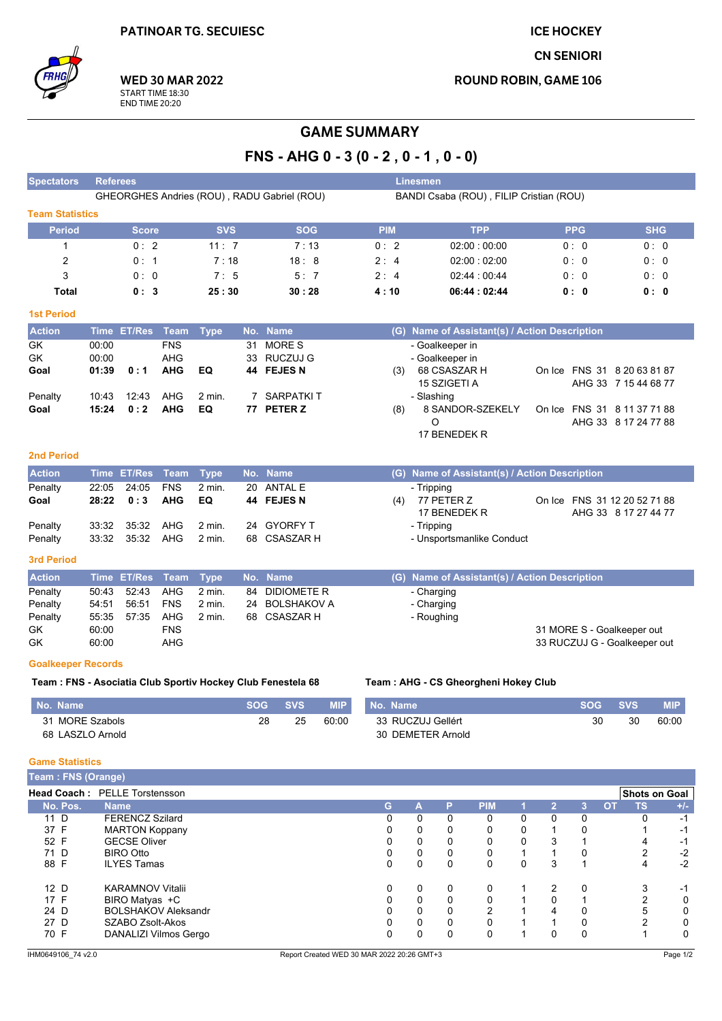**ICE HOCKEY** 

**CN SENIORI** 

**ROUND ROBIN, GAME 106** 



**WED 30 MAR 2022** START TIME 18:30<br>END TIME 20:20

## **GAME SUMMARY**

FNS - AHG  $0 - 3 (0 - 2, 0 - 1, 0 - 0)$ 

| <b>Spectators</b>             | <b>Referees</b> |                                                 |                          |                  |            |                                                             |            |                   | Linesmen                 |                   |                                               |        |                |                              |            |                      |
|-------------------------------|-----------------|-------------------------------------------------|--------------------------|------------------|------------|-------------------------------------------------------------|------------|-------------------|--------------------------|-------------------|-----------------------------------------------|--------|----------------|------------------------------|------------|----------------------|
|                               |                 |                                                 |                          |                  |            | GHEORGHES Andries (ROU), RADU Gabriel (ROU)                 |            |                   |                          |                   | BANDI Csaba (ROU), FILIP Cristian (ROU)       |        |                |                              |            |                      |
| <b>Team Statistics</b>        |                 |                                                 |                          |                  |            |                                                             |            |                   |                          |                   |                                               |        |                |                              |            |                      |
| <b>Period</b>                 |                 | <b>Score</b>                                    |                          | <b>SVS</b>       |            | <b>SOG</b>                                                  |            | <b>PIM</b>        |                          |                   | <b>TPP</b>                                    |        |                | <b>PPG</b>                   |            | <b>SHG</b>           |
| 1                             |                 | 0:2                                             |                          | 11:7             |            | 7:13                                                        |            | 0:2               |                          |                   | 02:00:00:00                                   |        |                | 0: 0                         |            | 0:0                  |
| 2                             |                 | 0:1                                             |                          | 7:18             |            | 18:8                                                        |            | 2:4               |                          |                   | 02:00:02:00                                   |        |                | 0:0                          |            | 0:0                  |
| 3                             |                 | 0:0                                             |                          | 7:5              |            | 5:7                                                         |            | 2:4               |                          |                   |                                               |        |                | 0:0                          |            | 0:0                  |
|                               |                 |                                                 |                          |                  |            |                                                             |            |                   |                          |                   | 02:44 : 00:44                                 |        |                |                              |            |                      |
| Total                         |                 | 0:3                                             |                          | 25:30            |            | 30:28                                                       |            | 4 : 10            |                          |                   | 06:44:02:44                                   |        |                | 0: 0                         |            | 0: 0                 |
| <b>1st Period</b>             |                 |                                                 |                          |                  |            |                                                             |            |                   |                          |                   |                                               |        |                |                              |            |                      |
| <b>Action</b>                 | <b>Time</b>     | <b>ET/Res</b>                                   | Team                     | <b>Type</b>      |            | No. Name                                                    |            |                   |                          |                   | (G) Name of Assistant(s) / Action Description |        |                |                              |            |                      |
| GK                            | 00:00           |                                                 | <b>FNS</b>               |                  | 31         | <b>MORES</b>                                                |            |                   |                          | - Goalkeeper in   |                                               |        |                |                              |            |                      |
| GK                            | 00:00           |                                                 | AHG                      |                  |            | 33 RUCZUJ G                                                 |            |                   |                          | - Goalkeeper in   |                                               |        |                |                              |            |                      |
| Goal                          | 01:39           | 0:1                                             | <b>AHG</b>               | EQ               |            | 44 FEJES N                                                  |            | (3)               |                          | 68 CSASZAR H      |                                               |        |                | On Ice FNS 31 8 20 63 81 87  |            |                      |
| Penalty                       | 10:43           | 12:43                                           | AHG                      | 2 min.           | 7          | <b>SARPATKIT</b>                                            |            |                   | - Slashing               | 15 SZIGETI A      |                                               |        |                | AHG 33 7 15 44 68 77         |            |                      |
| Goal                          | 15:24           | 0:2                                             | <b>AHG</b>               | EQ               |            | 77 PETER Z                                                  |            | (8)               |                          |                   | 8 SANDOR-SZEKELY                              |        |                | On Ice FNS 31 8 11 37 71 88  |            |                      |
|                               |                 |                                                 |                          |                  |            |                                                             |            |                   |                          | O                 |                                               |        |                | AHG 33 8 17 24 77 88         |            |                      |
|                               |                 |                                                 |                          |                  |            |                                                             |            |                   |                          | 17 BENEDEK R      |                                               |        |                |                              |            |                      |
| <b>2nd Period</b>             |                 |                                                 |                          |                  |            |                                                             |            |                   |                          |                   |                                               |        |                |                              |            |                      |
|                               |                 |                                                 |                          |                  |            |                                                             |            |                   |                          |                   |                                               |        |                |                              |            |                      |
| <b>Action</b>                 |                 | Time ET/Res                                     | <b>Team</b>              | <b>Type</b>      |            | No. Name                                                    |            |                   |                          |                   | (G) Name of Assistant(s) / Action Description |        |                |                              |            |                      |
| Penalty<br>Goal               | 22:05<br>28:22  | 24:05<br>0:3                                    | <b>FNS</b><br><b>AHG</b> | 2 min.<br>EQ     |            | 20 ANTAL E<br>44 FEJES N                                    |            | (4)               | - Tripping               | 77 PETER Z        |                                               |        |                | On Ice FNS 31 12 20 52 71 88 |            |                      |
|                               |                 |                                                 |                          |                  |            |                                                             |            |                   |                          | 17 BENEDEK R      |                                               |        |                | AHG 33 8 17 27 44 77         |            |                      |
| Penalty                       | 33:32           | 35:32                                           | AHG                      | 2 min.           |            | 24 GYORFY T                                                 |            |                   | - Tripping               |                   |                                               |        |                |                              |            |                      |
| Penalty                       | 33:32           | 35:32                                           | AHG                      | 2 min.           |            | 68 CSASZAR H                                                |            |                   |                          |                   | - Unsportsmanlike Conduct                     |        |                |                              |            |                      |
| 3rd Period                    |                 |                                                 |                          |                  |            |                                                             |            |                   |                          |                   |                                               |        |                |                              |            |                      |
|                               |                 |                                                 |                          |                  |            |                                                             |            |                   |                          |                   |                                               |        |                |                              |            |                      |
| <b>Action</b>                 | <b>Time</b>     | <b>ET/Res</b>                                   | <b>Team</b>              | <b>Type</b>      | No.        | <b>Name</b>                                                 |            |                   |                          |                   | (G) Name of Assistant(s) / Action Description |        |                |                              |            |                      |
| Penalty                       | 50:43           | 52:43                                           | AHG                      | 2 min.           | 84         | <b>DIDIOMETER</b>                                           |            |                   | - Charging               |                   |                                               |        |                |                              |            |                      |
| Penalty<br>Penalty            | 54:51<br>55:35  | 56:51<br>57:35                                  | <b>FNS</b><br>AHG        | 2 min.<br>2 min. | 24<br>68   | <b>BOLSHAKOV A</b><br><b>CSASZAR H</b>                      |            |                   | - Charging<br>- Roughing |                   |                                               |        |                |                              |            |                      |
| GK                            | 60:00           |                                                 | <b>FNS</b>               |                  |            |                                                             |            |                   |                          |                   |                                               |        |                | 31 MORE S - Goalkeeper out   |            |                      |
| GK                            | 60:00           |                                                 | AHG                      |                  |            |                                                             |            |                   |                          |                   |                                               |        |                | 33 RUCZUJ G - Goalkeeper out |            |                      |
|                               |                 |                                                 |                          |                  |            |                                                             |            |                   |                          |                   |                                               |        |                |                              |            |                      |
| <b>Goalkeeper Records</b>     |                 |                                                 |                          |                  |            |                                                             |            |                   |                          |                   |                                               |        |                |                              |            |                      |
|                               |                 |                                                 |                          |                  |            | Team: FNS - Asociatia Club Sportiv Hockey Club Fenestela 68 |            |                   |                          |                   | Team: AHG - CS Gheorgheni Hokey Club          |        |                |                              |            |                      |
| No. Name                      |                 |                                                 |                          |                  | <b>SOG</b> | <b>SVS</b>                                                  | <b>MIP</b> | No. Name          |                          |                   |                                               |        |                | <b>SOG</b>                   | <b>SVS</b> | <b>MIP</b>           |
| 31 MORE Szabols               |                 |                                                 |                          |                  |            | 28<br>25                                                    | 60:00      | 33 RUCZUJ Gellért |                          |                   |                                               |        |                | 30                           | 30         | 60:00                |
| 68 LASZLO Arnold              |                 |                                                 |                          |                  |            |                                                             |            |                   |                          | 30 DEMETER Arnold |                                               |        |                |                              |            |                      |
|                               |                 |                                                 |                          |                  |            |                                                             |            |                   |                          |                   |                                               |        |                |                              |            |                      |
| <b>Game Statistics</b>        |                 |                                                 |                          |                  |            |                                                             |            |                   |                          |                   |                                               |        |                |                              |            |                      |
| Team: FNS (Orange)            |                 |                                                 |                          |                  |            |                                                             |            |                   |                          |                   |                                               |        |                |                              |            |                      |
| Head Coach: PELLE Torstensson |                 |                                                 |                          |                  |            |                                                             |            |                   |                          |                   |                                               |        |                |                              |            | <b>Shots on Goal</b> |
| No. Pos.                      | <b>Name</b>     |                                                 |                          |                  |            |                                                             |            | G.                | A                        | P                 | <b>PIM</b>                                    |        | $\overline{2}$ | <b>OT</b><br>$\overline{3}$  | <b>TS</b>  | $+/-$                |
| $11\overline{D}$<br>37 F      |                 | <b>FERENCZ Szilard</b><br><b>MARTON Koppany</b> |                          |                  |            |                                                             |            | $\Omega$<br>0     | 0<br>0                   | $\mathbf 0$<br>0  | 0<br>0                                        | 0<br>0 | $\Omega$<br>1  | $\Omega$<br>0                | 0<br>1     | -1                   |
| 52 F                          |                 | <b>GECSE Oliver</b>                             |                          |                  |            |                                                             |            | 0                 | 0                        | 0                 | $\Omega$                                      | 0      | 3              | 1                            | 4          | -1<br>$-1$           |
| 71 D                          |                 | <b>BIRO Otto</b>                                |                          |                  |            |                                                             |            | 0                 | 0                        | 0                 | 0                                             | 1      | 1              | 0                            | 2          | $-2$                 |
| 88 F                          |                 | <b>ILYES Tamas</b>                              |                          |                  |            |                                                             |            | 0                 | 0                        | $\Omega$          | $\Omega$                                      | 0      | 3              | $\mathbf{1}$                 | 4          | $-2$                 |

**KARAMNOV Vitalii** 

SZABO Zsolt-Akos

BIRO Matyas +C<br>BIRO Matyas +C<br>BOLSHAKOV Aleksandr

DANALIZI Vilmos Gergo

 $12\overline{D}$ 

 $17 F$ <br> $24 D$ 

 $27<sub>D</sub>$ 

 $70 F$ 

 $\mathbf 0$ 

 $\pmb{0}$ 

 $\pmb{0}$ 

 $\mathbf 0$ 

 $\overline{0}$ 

 $\pmb{0}$ 

 ${\bf 0}$ 

 $\pmb{0}$ 

 $\mathbf 0$ 

 $\overline{0}$ 

 $\pmb{0}$ 

 $\begin{bmatrix} 0 \\ 0 \\ 0 \end{bmatrix}$ 

 $\mathbf 0$ 

 $\overline{0}$ 

 $\pmb{0}$ 

 $\begin{bmatrix} 0 \\ 2 \end{bmatrix}$ 

 $\mathbf 0$ 

 $\overline{0}$ 

 $\mathbf{1}$ 

 $\mathbf{1}$ 

 $\mathbf{1}$ 

 $\overline{1}$ 

 $\mathbf{1}$ 

 $\overline{2}$ 

 $\pmb{0}$ 

 $\overline{\mathbf{4}}$ 

 $\mathbf{1}$ 

 $\overline{0}$ 

 $\pmb{0}$ 

 $\begin{array}{c} 1 \\ 0 \end{array}$ 

 $\mathbf 0$ 

 $\overline{0}$ 

 $-1$ 

 $\overline{0}$ 

 $\mathbf 0$ 

 $\overline{0}$ 

 $\mathsf 3$ 

 $\frac{2}{5}$ 

 $\overline{2}$ 

 $\overline{1}$